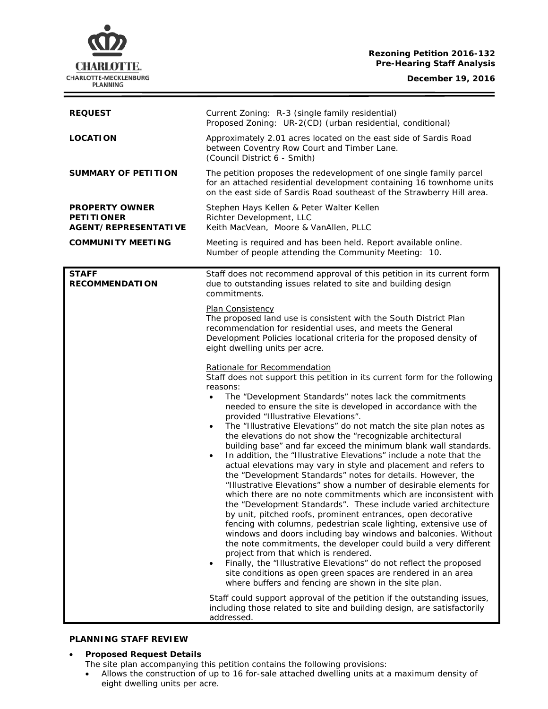## **Rezoning Petition 2016-132 Pre-Hearing Staff Analysis**

**December 19, 2016**



| <b>REQUEST</b>                                                     | Current Zoning: R-3 (single family residential)<br>Proposed Zoning: UR-2(CD) (urban residential, conditional)                                                                                                                                                                                                                                                                                                                                                                                                                                                                                                                                                                                                                                                                                                                                                                                                                                                                                                                                                                                                                                                                                                                                                                                                                                                                                                                                                                                                                                                                                                                                              |
|--------------------------------------------------------------------|------------------------------------------------------------------------------------------------------------------------------------------------------------------------------------------------------------------------------------------------------------------------------------------------------------------------------------------------------------------------------------------------------------------------------------------------------------------------------------------------------------------------------------------------------------------------------------------------------------------------------------------------------------------------------------------------------------------------------------------------------------------------------------------------------------------------------------------------------------------------------------------------------------------------------------------------------------------------------------------------------------------------------------------------------------------------------------------------------------------------------------------------------------------------------------------------------------------------------------------------------------------------------------------------------------------------------------------------------------------------------------------------------------------------------------------------------------------------------------------------------------------------------------------------------------------------------------------------------------------------------------------------------------|
| <b>LOCATION</b>                                                    | Approximately 2.01 acres located on the east side of Sardis Road<br>between Coventry Row Court and Timber Lane.<br>(Council District 6 - Smith)                                                                                                                                                                                                                                                                                                                                                                                                                                                                                                                                                                                                                                                                                                                                                                                                                                                                                                                                                                                                                                                                                                                                                                                                                                                                                                                                                                                                                                                                                                            |
| <b>SUMMARY OF PETITION</b>                                         | The petition proposes the redevelopment of one single family parcel<br>for an attached residential development containing 16 townhome units<br>on the east side of Sardis Road southeast of the Strawberry Hill area.                                                                                                                                                                                                                                                                                                                                                                                                                                                                                                                                                                                                                                                                                                                                                                                                                                                                                                                                                                                                                                                                                                                                                                                                                                                                                                                                                                                                                                      |
| <b>PROPERTY OWNER</b><br><b>PETITIONER</b><br>AGENT/REPRESENTATIVE | Stephen Hays Kellen & Peter Walter Kellen<br>Richter Development, LLC<br>Keith MacVean, Moore & VanAllen, PLLC                                                                                                                                                                                                                                                                                                                                                                                                                                                                                                                                                                                                                                                                                                                                                                                                                                                                                                                                                                                                                                                                                                                                                                                                                                                                                                                                                                                                                                                                                                                                             |
| <b>COMMUNITY MEETING</b>                                           | Meeting is required and has been held. Report available online.<br>Number of people attending the Community Meeting: 10.                                                                                                                                                                                                                                                                                                                                                                                                                                                                                                                                                                                                                                                                                                                                                                                                                                                                                                                                                                                                                                                                                                                                                                                                                                                                                                                                                                                                                                                                                                                                   |
| <b>STAFF</b><br><b>RECOMMENDATION</b>                              | Staff does not recommend approval of this petition in its current form<br>due to outstanding issues related to site and building design<br>commitments.                                                                                                                                                                                                                                                                                                                                                                                                                                                                                                                                                                                                                                                                                                                                                                                                                                                                                                                                                                                                                                                                                                                                                                                                                                                                                                                                                                                                                                                                                                    |
|                                                                    | <b>Plan Consistency</b><br>The proposed land use is consistent with the South District Plan<br>recommendation for residential uses, and meets the General<br>Development Policies locational criteria for the proposed density of<br>eight dwelling units per acre.                                                                                                                                                                                                                                                                                                                                                                                                                                                                                                                                                                                                                                                                                                                                                                                                                                                                                                                                                                                                                                                                                                                                                                                                                                                                                                                                                                                        |
|                                                                    | Rationale for Recommendation<br>Staff does not support this petition in its current form for the following<br>reasons:<br>The "Development Standards" notes lack the commitments<br>$\bullet$<br>needed to ensure the site is developed in accordance with the<br>provided "Illustrative Elevations".<br>The "Illustrative Elevations" do not match the site plan notes as<br>$\bullet$<br>the elevations do not show the "recognizable architectural<br>building base" and far exceed the minimum blank wall standards.<br>In addition, the "Illustrative Elevations" include a note that the<br>$\bullet$<br>actual elevations may vary in style and placement and refers to<br>the "Development Standards" notes for details. However, the<br>"Illustrative Elevations" show a number of desirable elements for<br>which there are no note commitments which are inconsistent with<br>the "Development Standards". These include varied architecture<br>by unit, pitched roofs, prominent entrances, open decorative<br>fencing with columns, pedestrian scale lighting, extensive use of<br>windows and doors including bay windows and balconies. Without<br>the note commitments, the developer could build a very different<br>project from that which is rendered.<br>Finally, the "Illustrative Elevations" do not reflect the proposed<br>$\bullet$<br>site conditions as open green spaces are rendered in an area<br>where buffers and fencing are shown in the site plan.<br>Staff could support approval of the petition if the outstanding issues,<br>including those related to site and building design, are satisfactorily<br>addressed. |

## **PLANNING STAFF REVIEW**

• **Proposed Request Details**

- The site plan accompanying this petition contains the following provisions:
- Allows the construction of up to 16 for-sale attached dwelling units at a maximum density of eight dwelling units per acre.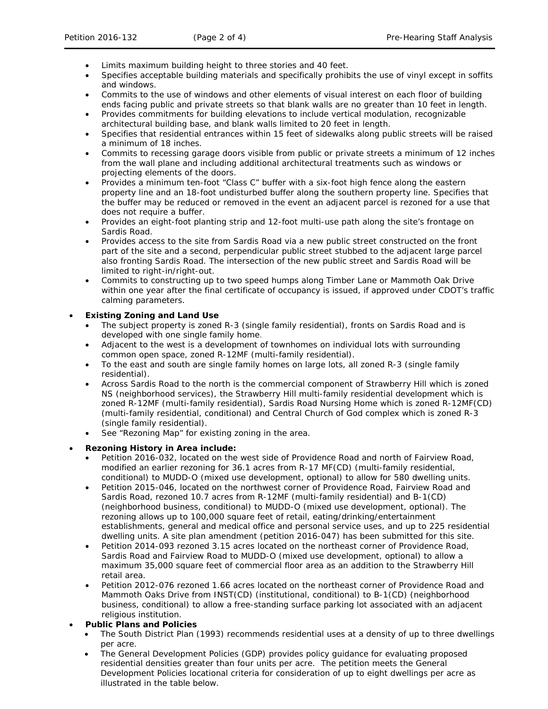- Limits maximum building height to three stories and 40 feet.
- Specifies acceptable building materials and specifically prohibits the use of vinyl except in soffits and windows.
- Commits to the use of windows and other elements of visual interest on each floor of building ends facing public and private streets so that blank walls are no greater than 10 feet in length.
- Provides commitments for building elevations to include vertical modulation, recognizable architectural building base, and blank walls limited to 20 feet in length.
- Specifies that residential entrances within 15 feet of sidewalks along public streets will be raised a minimum of 18 inches.
- Commits to recessing garage doors visible from public or private streets a minimum of 12 inches from the wall plane and including additional architectural treatments such as windows or projecting elements of the doors.
- Provides a minimum ten-foot "Class C" buffer with a six-foot high fence along the eastern property line and an 18-foot undisturbed buffer along the southern property line. Specifies that the buffer may be reduced or removed in the event an adjacent parcel is rezoned for a use that does not require a buffer.
- Provides an eight-foot planting strip and 12-foot multi-use path along the site's frontage on Sardis Road.
- Provides access to the site from Sardis Road via a new public street constructed on the front part of the site and a second, perpendicular public street stubbed to the adjacent large parcel also fronting Sardis Road. The intersection of the new public street and Sardis Road will be limited to right-in/right-out.
- Commits to constructing up to two speed humps along Timber Lane or Mammoth Oak Drive within one year after the final certificate of occupancy is issued, if approved under CDOT's traffic calming parameters.

# • **Existing Zoning and Land Use**

- The subject property is zoned R-3 (single family residential), fronts on Sardis Road and is developed with one single family home.
- Adjacent to the west is a development of townhomes on individual lots with surrounding common open space, zoned R-12MF (multi-family residential).
- To the east and south are single family homes on large lots, all zoned R-3 (single family residential).
- Across Sardis Road to the north is the commercial component of Strawberry Hill which is zoned NS (neighborhood services), the Strawberry Hill multi-family residential development which is zoned R-12MF (multi-family residential), Sardis Road Nursing Home which is zoned R-12MF(CD) (multi-family residential, conditional) and Central Church of God complex which is zoned R-3 (single family residential).
- See "Rezoning Map" for existing zoning in the area.

## • **Rezoning History in Area include:**

- Petition 2016-032, located on the west side of Providence Road and north of Fairview Road, modified an earlier rezoning for 36.1 acres from R-17 MF(CD) (multi-family residential, conditional) to MUDD-O (mixed use development, optional) to allow for 580 dwelling units.
- Petition 2015-046, located on the northwest corner of Providence Road, Fairview Road and Sardis Road, rezoned 10.7 acres from R-12MF (multi-family residential) and B-1(CD) (neighborhood business, conditional) to MUDD-O (mixed use development, optional). The rezoning allows up to 100,000 square feet of retail, eating/drinking/entertainment establishments, general and medical office and personal service uses, and up to 225 residential dwelling units. A site plan amendment (petition 2016-047) has been submitted for this site.
- Petition 2014-093 rezoned 3.15 acres located on the northeast corner of Providence Road, Sardis Road and Fairview Road to MUDD-O (mixed use development, optional) to allow a maximum 35,000 square feet of commercial floor area as an addition to the Strawberry Hill retail area.
- Petition 2012-076 rezoned 1.66 acres located on the northeast corner of Providence Road and Mammoth Oaks Drive from INST(CD) (institutional, conditional) to B-1(CD) (neighborhood business, conditional) to allow a free-standing surface parking lot associated with an adjacent religious institution.

## • **Public Plans and Policies**

- The *South District Plan* (1993) recommends residential uses at a density of up to three dwellings per acre.
- The *General Development Policies* (GDP) provides policy guidance for evaluating proposed residential densities greater than four units per acre. The petition meets the *General Development Policies* locational criteria for consideration of up to eight dwellings per acre as illustrated in the table below.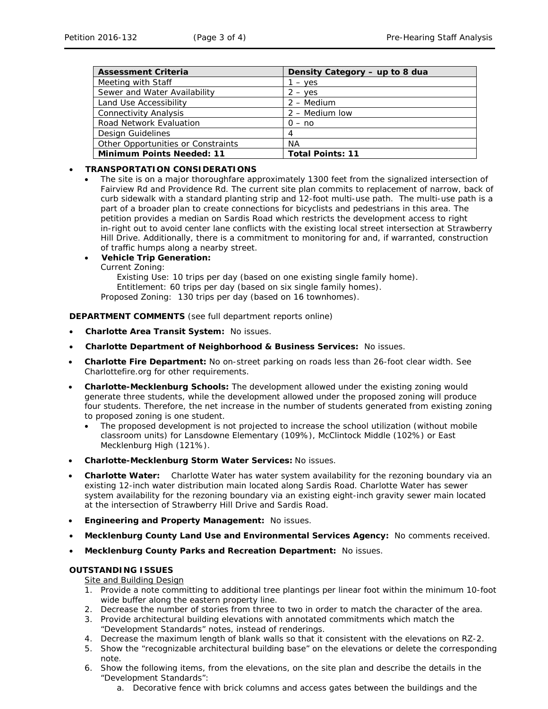| <b>Assessment Criteria</b>         | Density Category - up to 8 dua |
|------------------------------------|--------------------------------|
| Meeting with Staff                 | $-$ yes                        |
| Sewer and Water Availability       | $2 - yes$                      |
| Land Use Accessibility             | $2 - \text{Median}$            |
| <b>Connectivity Analysis</b>       | 2 – Medium Iow                 |
| Road Network Evaluation            | $0 - no$                       |
| <b>Design Guidelines</b>           | 4                              |
| Other Opportunities or Constraints | NА                             |
| <b>Minimum Points Needed: 11</b>   | <b>Total Points: 11</b>        |

## • **TRANSPORTATION CONSIDERATIONS**

• The site is on a major thoroughfare approximately 1300 feet from the signalized intersection of Fairview Rd and Providence Rd. The current site plan commits to replacement of narrow, back of curb sidewalk with a standard planting strip and 12-foot multi-use path. The multi-use path is a part of a broader plan to create connections for bicyclists and pedestrians in this area. The petition provides a median on Sardis Road which restricts the development access to right in-right out to avoid center lane conflicts with the existing local street intersection at Strawberry Hill Drive. Additionally, there is a commitment to monitoring for and, if warranted, construction of traffic humps along a nearby street.

#### • **Vehicle Trip Generation:**

Current Zoning:

Existing Use: 10 trips per day (based on one existing single family home). Entitlement: 60 trips per day (based on six single family homes).

Proposed Zoning: 130 trips per day (based on 16 townhomes).

**DEPARTMENT COMMENTS** (see full department reports online)

- **Charlotte Area Transit System:** No issues.
- **Charlotte Department of Neighborhood & Business Services:** No issues.
- **Charlotte Fire Department:** No on-street parking on roads less than 26-foot clear width. See Charlottefire.org for other requirements.
- **Charlotte-Mecklenburg Schools:** The development allowed under the existing zoning would generate three students, while the development allowed under the proposed zoning will produce four students. Therefore, the net increase in the number of students generated from existing zoning to proposed zoning is one student.
	- The proposed development is not projected to increase the school utilization (without mobile classroom units) for Lansdowne Elementary (109%), McClintock Middle (102%) or East Mecklenburg High (121%).
- **Charlotte-Mecklenburg Storm Water Services:** No issues.
- **Charlotte Water:** Charlotte Water has water system availability for the rezoning boundary via an existing 12-inch water distribution main located along Sardis Road. Charlotte Water has sewer system availability for the rezoning boundary via an existing eight-inch gravity sewer main located at the intersection of Strawberry Hill Drive and Sardis Road.
- **Engineering and Property Management:** No issues.
- **Mecklenburg County Land Use and Environmental Services Agency:** No comments received.
- **Mecklenburg County Parks and Recreation Department:** No issues.

## **OUTSTANDING ISSUES**

# Site and Building Design

- 1. Provide a note committing to additional tree plantings per linear foot within the minimum 10-foot wide buffer along the eastern property line.
- 2. Decrease the number of stories from three to two in order to match the character of the area.
- 3. Provide architectural building elevations with annotated commitments which match the "Development Standards" notes, instead of renderings.
- 4. Decrease the maximum length of blank walls so that it consistent with the elevations on RZ-2.
- 5. Show the "recognizable architectural building base" on the elevations or delete the corresponding note.
- 6. Show the following items, from the elevations, on the site plan and describe the details in the "Development Standards":
	- a. Decorative fence with brick columns and access gates between the buildings and the